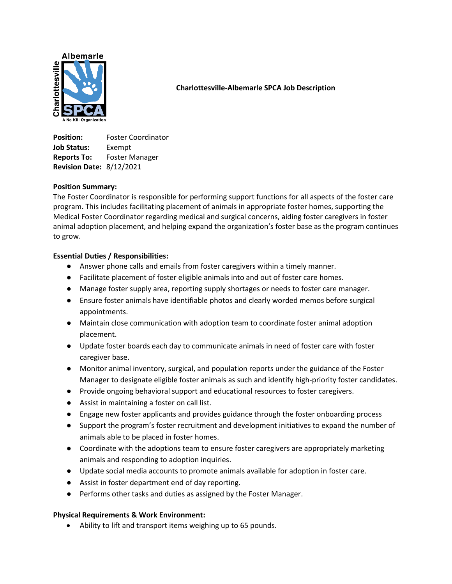

## **Charlottesville-Albemarle SPCA Job Description**

**Position:** Foster Coordinator **Job Status:** Exempt **Reports To:** Foster Manager **Revision Date:** 8/12/2021

## **Position Summary:**

The Foster Coordinator is responsible for performing support functions for all aspects of the foster care program. This includes facilitating placement of animals in appropriate foster homes, supporting the Medical Foster Coordinator regarding medical and surgical concerns, aiding foster caregivers in foster animal adoption placement, and helping expand the organization's foster base as the program continues to grow.

## **Essential Duties / Responsibilities:**

- Answer phone calls and emails from foster caregivers within a timely manner.
- Facilitate placement of foster eligible animals into and out of foster care homes.
- Manage foster supply area, reporting supply shortages or needs to foster care manager.
- Ensure foster animals have identifiable photos and clearly worded memos before surgical appointments.
- Maintain close communication with adoption team to coordinate foster animal adoption placement.
- Update foster boards each day to communicate animals in need of foster care with foster caregiver base.
- Monitor animal inventory, surgical, and population reports under the guidance of the Foster Manager to designate eligible foster animals as such and identify high-priority foster candidates.
- Provide ongoing behavioral support and educational resources to foster caregivers.
- Assist in maintaining a foster on call list.
- Engage new foster applicants and provides guidance through the foster onboarding process
- Support the program's foster recruitment and development initiatives to expand the number of animals able to be placed in foster homes.
- Coordinate with the adoptions team to ensure foster caregivers are appropriately marketing animals and responding to adoption inquiries.
- Update social media accounts to promote animals available for adoption in foster care.
- Assist in foster department end of day reporting.
- Performs other tasks and duties as assigned by the Foster Manager.

# **Physical Requirements & Work Environment:**

Ability to lift and transport items weighing up to 65 pounds.